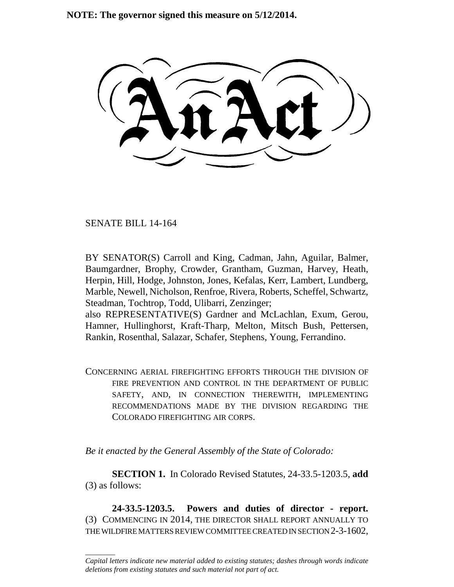**NOTE: The governor signed this measure on 5/12/2014.**

SENATE BILL 14-164

\_\_\_\_\_\_\_\_

BY SENATOR(S) Carroll and King, Cadman, Jahn, Aguilar, Balmer, Baumgardner, Brophy, Crowder, Grantham, Guzman, Harvey, Heath, Herpin, Hill, Hodge, Johnston, Jones, Kefalas, Kerr, Lambert, Lundberg, Marble, Newell, Nicholson, Renfroe, Rivera, Roberts, Scheffel, Schwartz, Steadman, Tochtrop, Todd, Ulibarri, Zenzinger;

also REPRESENTATIVE(S) Gardner and McLachlan, Exum, Gerou, Hamner, Hullinghorst, Kraft-Tharp, Melton, Mitsch Bush, Pettersen, Rankin, Rosenthal, Salazar, Schafer, Stephens, Young, Ferrandino.

CONCERNING AERIAL FIREFIGHTING EFFORTS THROUGH THE DIVISION OF FIRE PREVENTION AND CONTROL IN THE DEPARTMENT OF PUBLIC SAFETY, AND, IN CONNECTION THEREWITH, IMPLEMENTING RECOMMENDATIONS MADE BY THE DIVISION REGARDING THE COLORADO FIREFIGHTING AIR CORPS.

*Be it enacted by the General Assembly of the State of Colorado:*

**SECTION 1.** In Colorado Revised Statutes, 24-33.5-1203.5, **add** (3) as follows:

**24-33.5-1203.5. Powers and duties of director - report.** (3) COMMENCING IN 2014, THE DIRECTOR SHALL REPORT ANNUALLY TO THE WILDFIRE MATTERS REVIEW COMMITTEE CREATED IN SECTION 2-3-1602,

*Capital letters indicate new material added to existing statutes; dashes through words indicate deletions from existing statutes and such material not part of act.*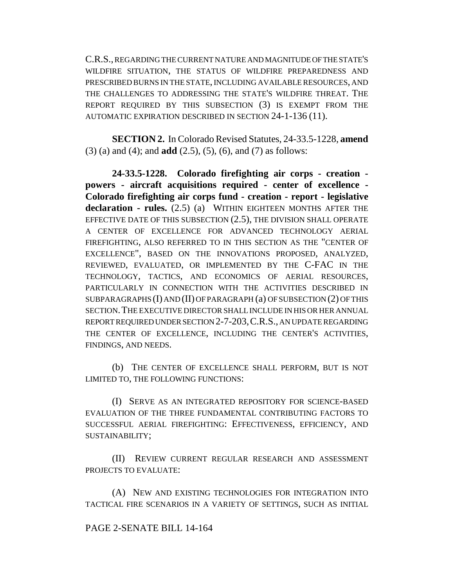C.R.S., REGARDING THE CURRENT NATURE AND MAGNITUDE OF THE STATE'S WILDFIRE SITUATION, THE STATUS OF WILDFIRE PREPAREDNESS AND PRESCRIBED BURNS IN THE STATE, INCLUDING AVAILABLE RESOURCES, AND THE CHALLENGES TO ADDRESSING THE STATE'S WILDFIRE THREAT. THE REPORT REQUIRED BY THIS SUBSECTION (3) IS EXEMPT FROM THE AUTOMATIC EXPIRATION DESCRIBED IN SECTION 24-1-136 (11).

**SECTION 2.** In Colorado Revised Statutes, 24-33.5-1228, **amend** (3) (a) and (4); and **add** (2.5), (5), (6), and (7) as follows:

**24-33.5-1228. Colorado firefighting air corps - creation powers - aircraft acquisitions required - center of excellence - Colorado firefighting air corps fund - creation - report - legislative declaration - rules.** (2.5) (a) WITHIN EIGHTEEN MONTHS AFTER THE EFFECTIVE DATE OF THIS SUBSECTION (2.5), THE DIVISION SHALL OPERATE A CENTER OF EXCELLENCE FOR ADVANCED TECHNOLOGY AERIAL FIREFIGHTING, ALSO REFERRED TO IN THIS SECTION AS THE "CENTER OF EXCELLENCE", BASED ON THE INNOVATIONS PROPOSED, ANALYZED, REVIEWED, EVALUATED, OR IMPLEMENTED BY THE C-FAC IN THE TECHNOLOGY, TACTICS, AND ECONOMICS OF AERIAL RESOURCES, PARTICULARLY IN CONNECTION WITH THE ACTIVITIES DESCRIBED IN SUBPARAGRAPHS (I) AND (II) OF PARAGRAPH (a) OF SUBSECTION (2) OF THIS SECTION.THE EXECUTIVE DIRECTOR SHALL INCLUDE IN HIS OR HER ANNUAL REPORT REQUIRED UNDER SECTION 2-7-203,C.R.S., AN UPDATE REGARDING THE CENTER OF EXCELLENCE, INCLUDING THE CENTER'S ACTIVITIES, FINDINGS, AND NEEDS.

(b) THE CENTER OF EXCELLENCE SHALL PERFORM, BUT IS NOT LIMITED TO, THE FOLLOWING FUNCTIONS:

(I) SERVE AS AN INTEGRATED REPOSITORY FOR SCIENCE-BASED EVALUATION OF THE THREE FUNDAMENTAL CONTRIBUTING FACTORS TO SUCCESSFUL AERIAL FIREFIGHTING: EFFECTIVENESS, EFFICIENCY, AND SUSTAINABILITY;

(II) REVIEW CURRENT REGULAR RESEARCH AND ASSESSMENT PROJECTS TO EVALUATE:

(A) NEW AND EXISTING TECHNOLOGIES FOR INTEGRATION INTO TACTICAL FIRE SCENARIOS IN A VARIETY OF SETTINGS, SUCH AS INITIAL

## PAGE 2-SENATE BILL 14-164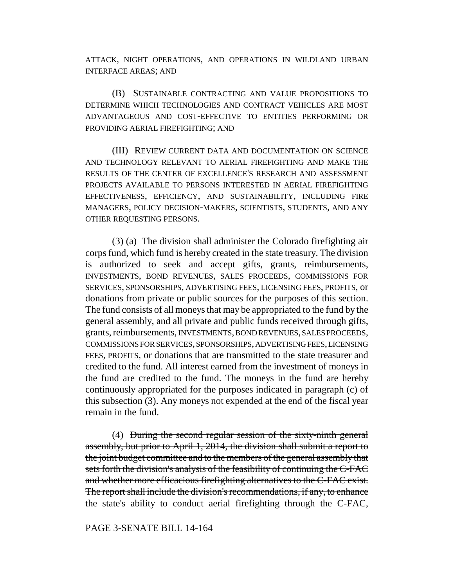ATTACK, NIGHT OPERATIONS, AND OPERATIONS IN WILDLAND URBAN INTERFACE AREAS; AND

(B) SUSTAINABLE CONTRACTING AND VALUE PROPOSITIONS TO DETERMINE WHICH TECHNOLOGIES AND CONTRACT VEHICLES ARE MOST ADVANTAGEOUS AND COST-EFFECTIVE TO ENTITIES PERFORMING OR PROVIDING AERIAL FIREFIGHTING; AND

(III) REVIEW CURRENT DATA AND DOCUMENTATION ON SCIENCE AND TECHNOLOGY RELEVANT TO AERIAL FIREFIGHTING AND MAKE THE RESULTS OF THE CENTER OF EXCELLENCE'S RESEARCH AND ASSESSMENT PROJECTS AVAILABLE TO PERSONS INTERESTED IN AERIAL FIREFIGHTING EFFECTIVENESS, EFFICIENCY, AND SUSTAINABILITY, INCLUDING FIRE MANAGERS, POLICY DECISION-MAKERS, SCIENTISTS, STUDENTS, AND ANY OTHER REQUESTING PERSONS.

(3) (a) The division shall administer the Colorado firefighting air corps fund, which fund is hereby created in the state treasury. The division is authorized to seek and accept gifts, grants, reimbursements, INVESTMENTS, BOND REVENUES, SALES PROCEEDS, COMMISSIONS FOR SERVICES, SPONSORSHIPS, ADVERTISING FEES, LICENSING FEES, PROFITS, or donations from private or public sources for the purposes of this section. The fund consists of all moneys that may be appropriated to the fund by the general assembly, and all private and public funds received through gifts, grants, reimbursements, INVESTMENTS, BOND REVENUES, SALES PROCEEDS, COMMISSIONS FOR SERVICES, SPONSORSHIPS, ADVERTISING FEES, LICENSING FEES, PROFITS, or donations that are transmitted to the state treasurer and credited to the fund. All interest earned from the investment of moneys in the fund are credited to the fund. The moneys in the fund are hereby continuously appropriated for the purposes indicated in paragraph (c) of this subsection (3). Any moneys not expended at the end of the fiscal year remain in the fund.

(4) During the second regular session of the sixty-ninth general assembly, but prior to April 1, 2014, the division shall submit a report to the joint budget committee and to the members of the general assembly that sets forth the division's analysis of the feasibility of continuing the C-FAC and whether more efficacious firefighting alternatives to the C-FAC exist. The report shall include the division's recommendations, if any, to enhance the state's ability to conduct aerial firefighting through the C-FAC,

## PAGE 3-SENATE BILL 14-164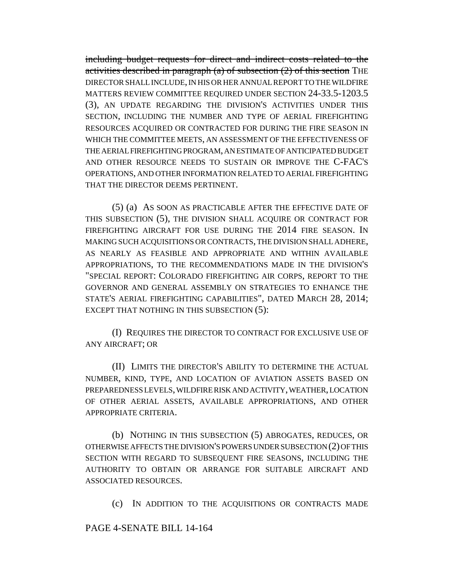including budget requests for direct and indirect costs related to the activities described in paragraph (a) of subsection  $(2)$  of this section THE DIRECTOR SHALL INCLUDE, IN HIS OR HER ANNUAL REPORT TO THE WILDFIRE MATTERS REVIEW COMMITTEE REQUIRED UNDER SECTION 24-33.5-1203.5 (3), AN UPDATE REGARDING THE DIVISION'S ACTIVITIES UNDER THIS SECTION, INCLUDING THE NUMBER AND TYPE OF AERIAL FIREFIGHTING RESOURCES ACQUIRED OR CONTRACTED FOR DURING THE FIRE SEASON IN WHICH THE COMMITTEE MEETS, AN ASSESSMENT OF THE EFFECTIVENESS OF THE AERIAL FIREFIGHTING PROGRAM, AN ESTIMATE OF ANTICIPATED BUDGET AND OTHER RESOURCE NEEDS TO SUSTAIN OR IMPROVE THE C-FAC'S OPERATIONS, AND OTHER INFORMATION RELATED TO AERIAL FIREFIGHTING THAT THE DIRECTOR DEEMS PERTINENT.

(5) (a) AS SOON AS PRACTICABLE AFTER THE EFFECTIVE DATE OF THIS SUBSECTION (5), THE DIVISION SHALL ACQUIRE OR CONTRACT FOR FIREFIGHTING AIRCRAFT FOR USE DURING THE 2014 FIRE SEASON. IN MAKING SUCH ACQUISITIONS OR CONTRACTS, THE DIVISION SHALL ADHERE, AS NEARLY AS FEASIBLE AND APPROPRIATE AND WITHIN AVAILABLE APPROPRIATIONS, TO THE RECOMMENDATIONS MADE IN THE DIVISION'S "SPECIAL REPORT: COLORADO FIREFIGHTING AIR CORPS, REPORT TO THE GOVERNOR AND GENERAL ASSEMBLY ON STRATEGIES TO ENHANCE THE STATE'S AERIAL FIREFIGHTING CAPABILITIES", DATED MARCH 28, 2014; EXCEPT THAT NOTHING IN THIS SUBSECTION (5):

(I) REQUIRES THE DIRECTOR TO CONTRACT FOR EXCLUSIVE USE OF ANY AIRCRAFT; OR

(II) LIMITS THE DIRECTOR'S ABILITY TO DETERMINE THE ACTUAL NUMBER, KIND, TYPE, AND LOCATION OF AVIATION ASSETS BASED ON PREPAREDNESS LEVELS, WILDFIRE RISK AND ACTIVITY, WEATHER, LOCATION OF OTHER AERIAL ASSETS, AVAILABLE APPROPRIATIONS, AND OTHER APPROPRIATE CRITERIA.

(b) NOTHING IN THIS SUBSECTION (5) ABROGATES, REDUCES, OR OTHERWISE AFFECTS THE DIVISION'S POWERS UNDER SUBSECTION (2) OF THIS SECTION WITH REGARD TO SUBSEQUENT FIRE SEASONS, INCLUDING THE AUTHORITY TO OBTAIN OR ARRANGE FOR SUITABLE AIRCRAFT AND ASSOCIATED RESOURCES.

(c) IN ADDITION TO THE ACQUISITIONS OR CONTRACTS MADE

## PAGE 4-SENATE BILL 14-164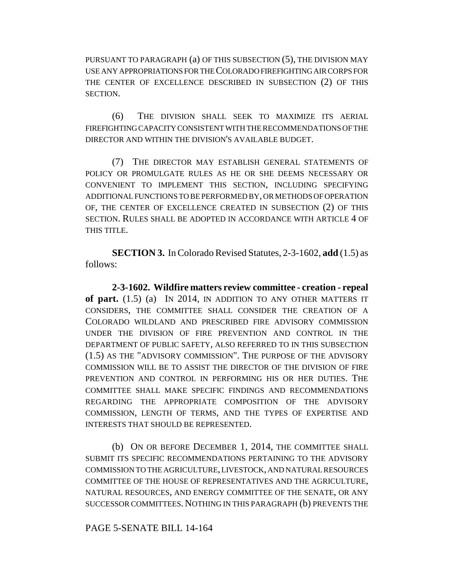PURSUANT TO PARAGRAPH (a) OF THIS SUBSECTION (5), THE DIVISION MAY USE ANY APPROPRIATIONS FOR THE COLORADO FIREFIGHTING AIR CORPS FOR THE CENTER OF EXCELLENCE DESCRIBED IN SUBSECTION (2) OF THIS SECTION.

(6) THE DIVISION SHALL SEEK TO MAXIMIZE ITS AERIAL FIREFIGHTING CAPACITY CONSISTENT WITH THE RECOMMENDATIONS OF THE DIRECTOR AND WITHIN THE DIVISION'S AVAILABLE BUDGET.

(7) THE DIRECTOR MAY ESTABLISH GENERAL STATEMENTS OF POLICY OR PROMULGATE RULES AS HE OR SHE DEEMS NECESSARY OR CONVENIENT TO IMPLEMENT THIS SECTION, INCLUDING SPECIFYING ADDITIONAL FUNCTIONS TO BE PERFORMED BY, OR METHODS OF OPERATION OF, THE CENTER OF EXCELLENCE CREATED IN SUBSECTION (2) OF THIS SECTION. RULES SHALL BE ADOPTED IN ACCORDANCE WITH ARTICLE 4 OF THIS TITLE.

**SECTION 3.** In Colorado Revised Statutes, 2-3-1602, **add** (1.5) as follows:

**2-3-1602. Wildfire matters review committee - creation - repeal of part.** (1.5) (a) IN 2014, IN ADDITION TO ANY OTHER MATTERS IT CONSIDERS, THE COMMITTEE SHALL CONSIDER THE CREATION OF A COLORADO WILDLAND AND PRESCRIBED FIRE ADVISORY COMMISSION UNDER THE DIVISION OF FIRE PREVENTION AND CONTROL IN THE DEPARTMENT OF PUBLIC SAFETY, ALSO REFERRED TO IN THIS SUBSECTION (1.5) AS THE "ADVISORY COMMISSION". THE PURPOSE OF THE ADVISORY COMMISSION WILL BE TO ASSIST THE DIRECTOR OF THE DIVISION OF FIRE PREVENTION AND CONTROL IN PERFORMING HIS OR HER DUTIES. THE COMMITTEE SHALL MAKE SPECIFIC FINDINGS AND RECOMMENDATIONS REGARDING THE APPROPRIATE COMPOSITION OF THE ADVISORY COMMISSION, LENGTH OF TERMS, AND THE TYPES OF EXPERTISE AND INTERESTS THAT SHOULD BE REPRESENTED.

(b) ON OR BEFORE DECEMBER 1, 2014, THE COMMITTEE SHALL SUBMIT ITS SPECIFIC RECOMMENDATIONS PERTAINING TO THE ADVISORY COMMISSION TO THE AGRICULTURE, LIVESTOCK, AND NATURAL RESOURCES COMMITTEE OF THE HOUSE OF REPRESENTATIVES AND THE AGRICULTURE, NATURAL RESOURCES, AND ENERGY COMMITTEE OF THE SENATE, OR ANY SUCCESSOR COMMITTEES. NOTHING IN THIS PARAGRAPH (b) PREVENTS THE

## PAGE 5-SENATE BILL 14-164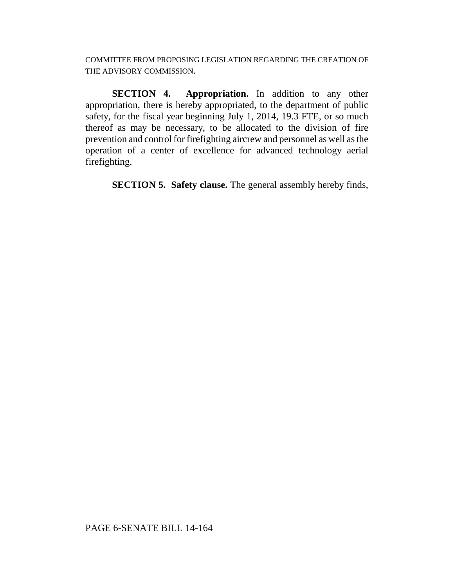COMMITTEE FROM PROPOSING LEGISLATION REGARDING THE CREATION OF THE ADVISORY COMMISSION.

**SECTION 4. Appropriation.** In addition to any other appropriation, there is hereby appropriated, to the department of public safety, for the fiscal year beginning July 1, 2014, 19.3 FTE, or so much thereof as may be necessary, to be allocated to the division of fire prevention and control for firefighting aircrew and personnel as well as the operation of a center of excellence for advanced technology aerial firefighting.

**SECTION 5. Safety clause.** The general assembly hereby finds,